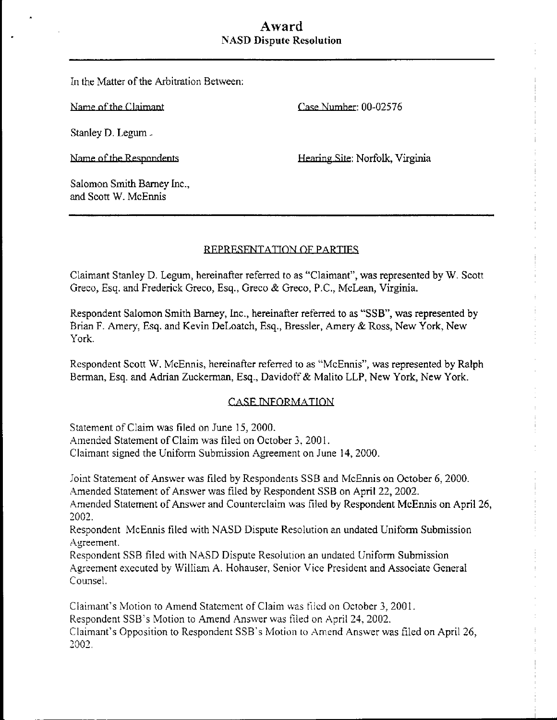# Award NASD Dispute Resolution

In the Matter of the Arbitration Between:

Name nf the Claimant

Stanley D. Legum -

Name of the Respondents

Hearing Site: Norfolk, Virginia

Case Number: 00-02576

Salomon Smith Barney Inc., and Scott W. McEnnis

## REPRESENTATION OF PARTIES

Claimant Stanley D. Legum, hereinafter referred to as "Claimant", was represented by W. Scott Greco, Esq. and Frederick Greco, Esq., Greco & Greco, P.C., McLean, Virginia.

Respondent Salomon Smith Barney, Inc., hereinafter referred to as "SSB", was represented by Brian F. Amery, Esq. and Kevin DeLoatch, Esq., Bressler, Amery & Ross, New York, New York.

Respondent Scott W. McEnnis, hereinafter referred to as "McEnnis", was represented by Ralph Berman, Esq. and Adrian Zuckerman, Esq., Davidoff & Malito LLP, New York, New York.

### CASE INFORMATION

Statement of Claim was filed on June 15, 2000.

Amended Statement of Claim was filed on October 3, 2001.

Claimant signed the Uniform Submission Agreement on June 14, 2000.

Joint Statement of Answer was filed by Respondents SSB and McEnnis on October 6, 2000. Amended Statement of Answer was filed by Respondent SSB on April 22, 2002.

Amended Statement of Answer and Counterclaim was filed by Respondent McEnnis on April 26, 2002.

Respondent McEnnis filed with NASD Dispute Resolution an undated Uniform Submission Agreement.

Respondent SSB filed with NASD Dispute Resolution an undated Uniform Submission Agreement executed by William A. Hohauser, Senior Vice President and Associate General Counsel.

Claimant's Motion to Amend Statement of Claim was filed on October 3, 2001. Respondent SSB's Motion to Amend Answer was filed on April 24, 2002. Claimant's Opposition to Respondent SSB's Motion to Amend Answer was filed on April 26, 2002.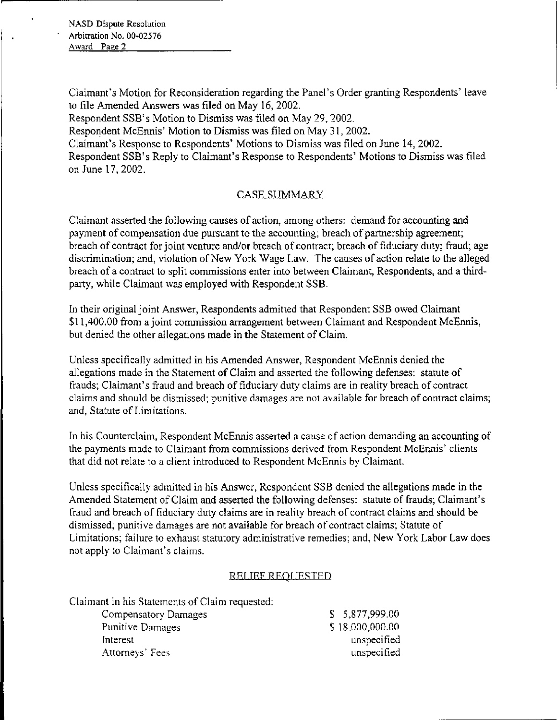Claimant's Motion for Reconsideration regarding the Panel's Order granting Respondents' leave to file Amended Answers was filed on May 16, 2002.

Respondent SSB's Motion to Dismiss was filed on May 29, 2002.

Respondent McEnnis' Motion to Dismiss was filed on May 31, 2002.

Claimant's Response to Respondents' Motions to Dismiss was filed on June 14, 2002.

Respondent SSB's Reply to Claimant's Response to Respondents' Motions to Dismiss was filed on June 17, 2002.

# CASE SUMMARY

Claimant asserted the following causes of action, among others: demand for accounting and payment of compensation due pursuant to the accounting; breach of partnership agreement; breach of contract for joint venture and/or breach of contract; breach of fiduciary duty; fraud; age discrimination; and, violation of New York Wage Law. The causes of action relate to the alleged breach of a contract to split commissions enter into between Claimant, Respondents, and a thirdparty, while Claimant was employed with Respondent SSB.

In their original joint Answer, Respondents admitted that Respondent SSB owed Claimant SI 1,400.00 from a joint commission arrangement between Claimant and Respondent McEnnis, but denied the other allegations made in the Statement of Claim.

Unless specifically admitted in his Amended Answer, Respondent McEnnis denied the allegations made in the Statement of Claim and asserted the following defenses: statute of frauds; Claimant's fraud and breach of fiduciary duty claims are in reality breach of contract claims and should be dismissed; punitive damages are not available for breach of contract claims; and, Statute of Limitations.

In his Counterclaim, Respondent McEnnis asserted a cause of action demanding an accounting of the payments made to Claimant from commissions derived from Respondent McEnnis' clients that did not relate to a client introduced to Respondent McEnnis by Claimant.

Unless specifically admitted in his Answer, Respondent SSB denied the allegations made in the Amended Statement of Claim and asserted the following defenses: statute of frauds; Claimant's fraud and breach of fiduciary duty claims are in reality breach of contract claims and should be dismissed; punitive damages are not available for breach of contract claims; Statute of Limitations; failure to exhaust statutory administrative remedies; and, New York Labor Law does not apply to Claimant's claims.

# RELIEF REQUESTED

Claimant in his Statements of Claim requested:

| Compensatory Damages    | \$5,877,999.00  |
|-------------------------|-----------------|
| <b>Punitive Damages</b> | \$18,000,000.00 |
| Interest                | unspecified     |
| Attorneys' Fees         | unspecified     |
|                         |                 |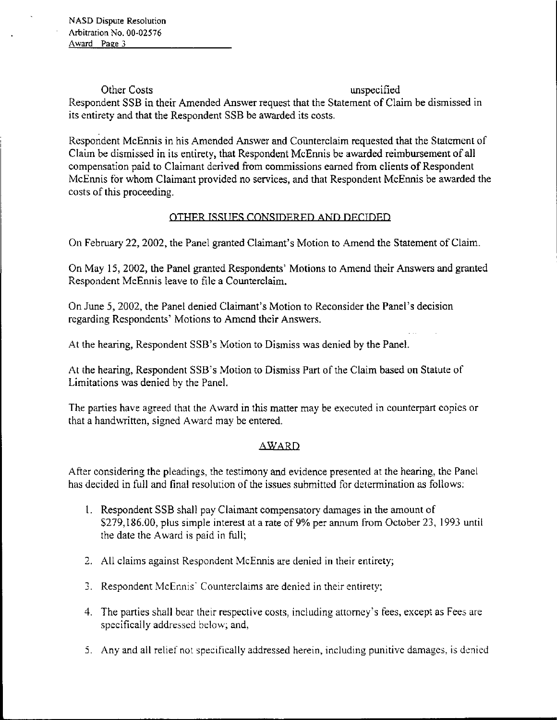Other Costs unspecified Respondent SSB in their Amended Answer request that the Statement of Claim be dismissed in its entirety and that the Respondent SSB be awarded its costs.

Respondent McEnnis in his Amended Answer and Counterclaim requested that the Statement of Claim be dismissed in its entirety, that Respondent McEnnis be awarded reimbursement of all compensation paid to Claimant derived from commissions earned from clients of Respondent McEnnis for whom Claimant provided no services, and that Respondent McEnnis be awarded the costs of this proceeding.

# OTHER ISSUES CONSIDERED AND DECIDED

On February 22, 2002, the Panel granted Claimant's Motion to Amend the Statement of Claim.

On May 15, 2002, the Panel granted Respondents' Motions to Amend their Answers and granted Respondent McEnnis leave to file a Counterclaim.

On June 5, 2002, the Panel denied Claimant's Motion to Reconsider the Panel's decision regarding Respondents' Motions to Amend their Answers.

At the hearing, Respondent SSB's Motion to Dismiss was denied by the Panel.

At the hearing, Respondent SSB's Motion to Dismiss Part of the Claim based on Statute of Limitations was denied by the Panel.

The parties have agreed that the Award in this matter may be executed in counterpart copies or that a handwritten, signed Award may be entered.

# AWARD

After considering the pleadings, the testimony and evidence presented at the hearing, the Panel has decided in full and final resolution of the issues submitted for determination as follows:

- 1 . Respondent SSB shall pay Claimant compensatory damages in the amount of \$279,186.00, plus simple interest at a rate of 9% per annum from October 23, 1993 until the date the Award is paid in full;
- 2. All claims against Respondent McEnnis are denied in their entirety;
- 3. Respondent McEnnis' Counterclaims are denied in their entirety;
- 4. The parties shall bear their respective costs, including attorney's fees, except as Fees are specifically addressed below; and,
- 5. Any and all relief not specifically addressed herein, including punitive damages, is denied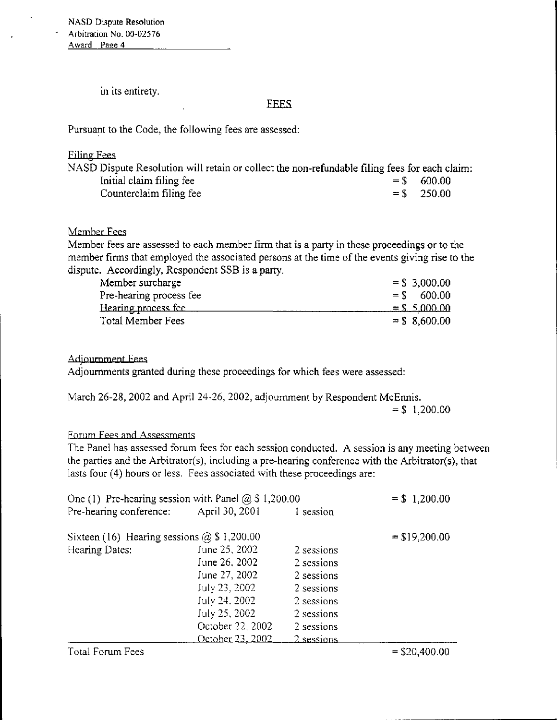NASD Dispute Resolution Arbitration No. 00-02576 Award Page 4

in its entirety.

#### **EEES**

Pursuant to the Code, the following fees are assessed:

### **Filing Fees**

| NASD Dispute Resolution will retain or collect the non-refundable filing fees for each claim: |               |
|-----------------------------------------------------------------------------------------------|---------------|
| Initial claim filing fee                                                                      | $=$ \$ 600.00 |
| Counterclaim filing fee                                                                       | $=$ \$ 250.00 |

Member Fees

Member fees are assessed to each member firm that is a party in these proceedings or to the member firms that employed the associated persons at the time of the events giving rise to the dispute. Accordingly, Respondent SSB is a party.

| Member surcharge        | $=$ \$ 3,000.00 |
|-------------------------|-----------------|
| Pre-hearing process fee | $=$ \$ 600.00   |
| Hearing process fee     | $=$ \$ 5,000,00 |
| Total Member Fees       | $=$ \$ 8.600.00 |

### Adjournment Fees

Adjournments granted during these proceedings for which fees were assessed:

March 26-28, 2002 and April 24-26, 2002, adjournment by Respondent McEnnis.  $= $ 1,200.00$ 

### Forum Fees and Assessments

The Panel has assessed forum fees for each session conducted. A session is any meeting between the parties and the Arbitrator(s), including a pre-hearing conference with the Arbitrator(s), that lasts four (4) hours or less. Fees associated with these proceedings are:

| One (1) Pre-hearing session with Panel $(2)$ \$ 1,200.00 |                  |            | $=$ \$ 1,200.00 |
|----------------------------------------------------------|------------------|------------|-----------------|
| Pre-hearing conference:                                  | April 30, 2001   | 1 session  |                 |
| Sixteen (16) Hearing sessions $@$ \$ 1,200.00            |                  |            | $= $19,200.00$  |
| Hearing Dates:                                           | June 25, 2002    | 2 sessions |                 |
|                                                          | June 26, 2002    | 2 sessions |                 |
|                                                          | June 27, 2002    | 2 sessions |                 |
|                                                          | July 23, 2002    | 2 sessions |                 |
|                                                          | July 24, 2002    | 2 sessions |                 |
|                                                          | July 25, 2002    | 2 sessions |                 |
|                                                          | October 22, 2002 | 2 sessions |                 |
|                                                          | October 23, 2002 | 2 sessions |                 |

 $Total Form Fees$  =  $$20,400.00$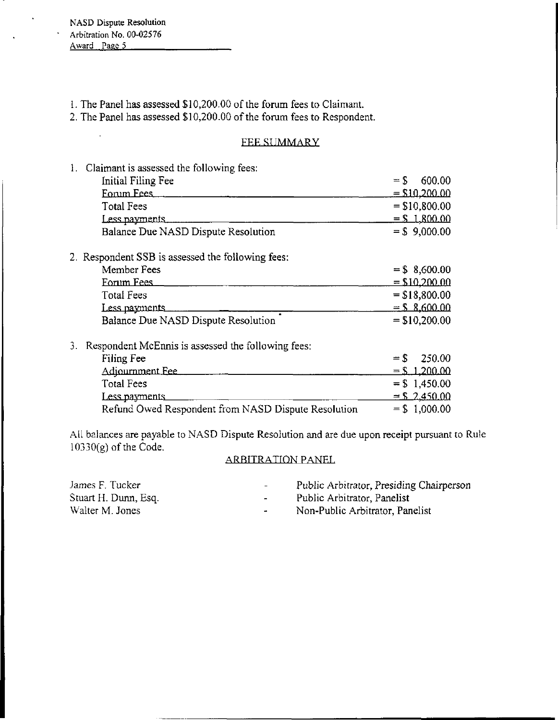NASD Dispute Resolution Arbitration No. 00-02576 Award Page 5

 $\mathbb{R}^2$ 

 $\ddot{\phantom{a}}$ 

 $\frac{1}{\sqrt{2}}$ 

1. The Panel has assessed \$10,200.00 of the forum fees to Claimant.

2. The Panel has assessed \$10,200.00 of the forum fees to Respondent.

### FEE SUMMARY

| 1. Claimant is assessed the following fees:              |                            |
|----------------------------------------------------------|----------------------------|
| Initial Filing Fee                                       | $=$ S<br>600.00            |
| Forum Fees                                               | $=$ \$10,200.00            |
| <b>Total Fees</b>                                        | $=$ \$10,800.00            |
| Less payments                                            | $=$ \$ 1,800.00            |
| Balance Due NASD Dispute Resolution                      | $=$ \$ 9,000.00            |
| 2. Respondent SSB is assessed the following fees:        |                            |
| Member Fees                                              | $=$ \$ 8,600.00            |
| Forum Fees                                               | $= $10,200,00$             |
| Total Fees                                               | $=$ \$18,800.00            |
| Less payments                                            | $=$ \$ 8,600.00            |
| Balance Due NASD Dispute Resolution                      | $=$ \$10,200.00            |
| Respondent McEnnis is assessed the following fees:<br>3. |                            |
| Filing Fee                                               | 250.00<br>$=$ $\mathbb{S}$ |
| Adjournment Fee                                          | $=$ \$ 1.200.00            |
| <b>Total Fees</b>                                        | $= $1,450.00$              |
| Less payments                                            | $=$ \$ 2,450.00            |
| Refund Owed Respondent from NASD Dispute Resolution      | $=$ \$ 1,000.00            |

All balances are payable to NASD Dispute Resolution and are due upon receipt pursuant to Rule  $10330(g)$  of the Code.

## ARBITRATION PANEL

| James F. Tucker      | $\overline{\phantom{0}}$ | Public Arbitrator, Presiding Chairperson |
|----------------------|--------------------------|------------------------------------------|
| Stuart H. Dunn, Esq. | $\sim$                   | Public Arbitrator, Panelist              |
| Walter M. Jones      | $\blacksquare$           | Non-Public Arbitrator, Panelist          |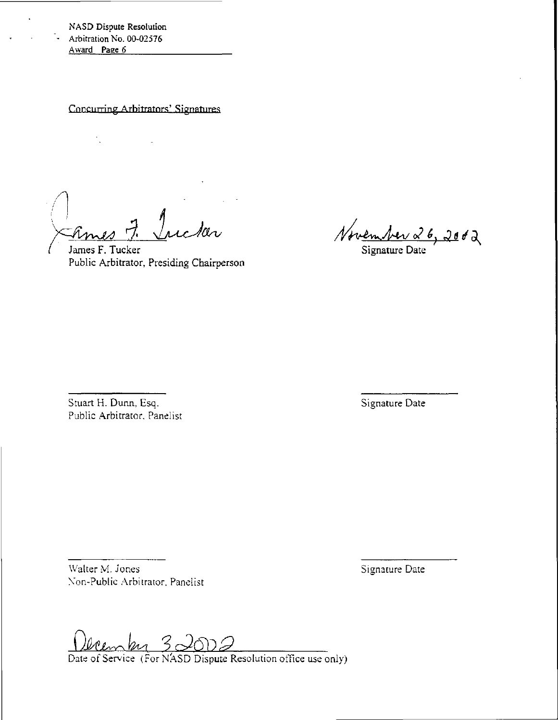NASD Dispute Resolution Arbitration No. 00-02576 t, Award Page 6

Concurring Arbitrators' Signatures

Finnes 7. Inclar November 26, 2002

Public Arbitrator, Presiding Chairperson

Stuart H. Dunn, Esq. Signature Date Signature Date Public Arbitrator, Panelist

Walter M. Jones Signature Date Signature Date Non-Public Arbitrator, Panelist

erember 32002

Date of Service (For NASD Dispute Resolution office use only)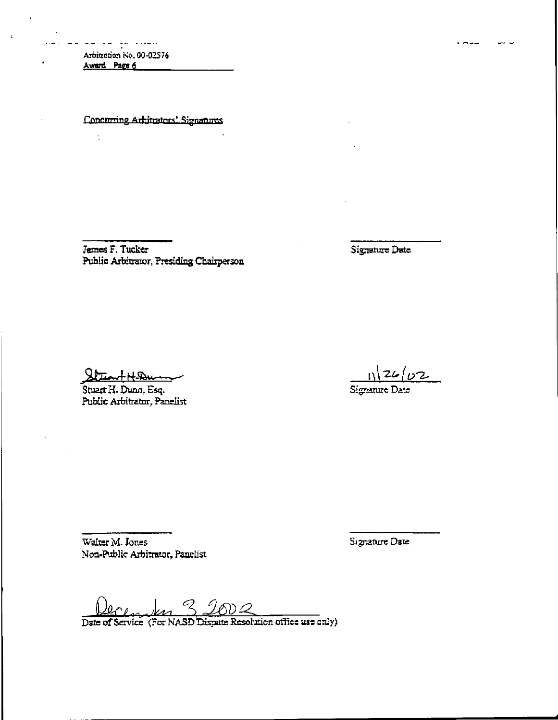$\frac{1}{2}$ 

 $\mathbf{1}$  ,  $\mathbf{2}$  ,  $\mathbf{3}$ 

Concurring Arhitrators' Signatures

James F. Tucker Public Arbitrator, Presiding Chairperson Signature Date

 $2t$ teart H. Dum

Stuart H. Dunn, Esq. Public Arbitrator, Panelist

 $112462$ 

Signature Date

Walter M-Non-Public Arbitrator, Panelist Signature Date

.<br>ب Q

Date of Service (For NASD Dispute Resolution office use only)